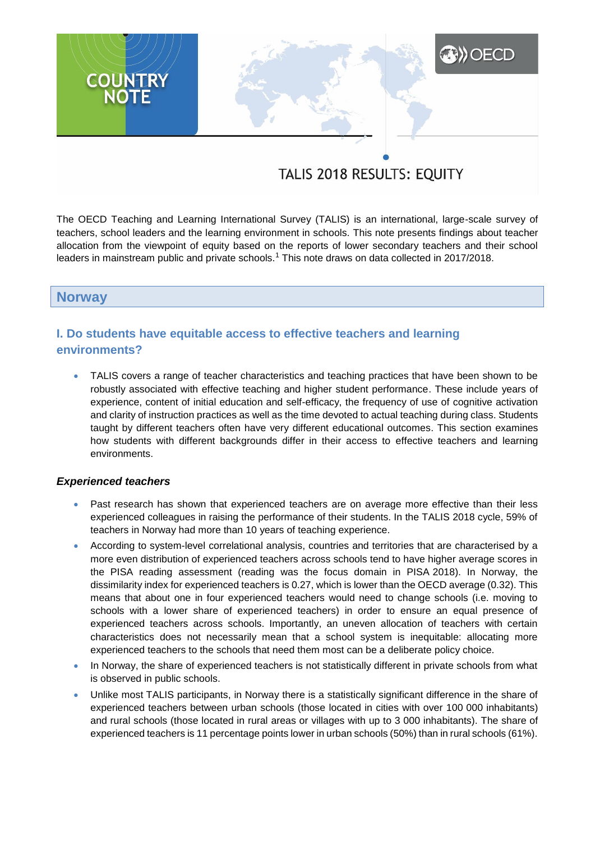# **A) OECD COUNTRY**<br>NOTE

# TALIS 2018 RESULTS: EQUITY

The OECD Teaching and Learning International Survey (TALIS) is an international, large-scale survey of teachers, school leaders and the learning environment in schools. This note presents findings about teacher allocation from the viewpoint of equity based on the reports of lower secondary teachers and their school leaders in mainstream public and private schools.<sup>1</sup> This note draws on data collected in 2017/2018.

### **Norway**

# **I. Do students have equitable access to effective teachers and learning environments?**

 TALIS covers a range of teacher characteristics and teaching practices that have been shown to be robustly associated with effective teaching and higher student performance. These include years of experience, content of initial education and self-efficacy, the frequency of use of cognitive activation and clarity of instruction practices as well as the time devoted to actual teaching during class. Students taught by different teachers often have very different educational outcomes. This section examines how students with different backgrounds differ in their access to effective teachers and learning environments.

#### *Experienced teachers*

- Past research has shown that experienced teachers are on average more effective than their less experienced colleagues in raising the performance of their students. In the TALIS 2018 cycle, 59% of teachers in Norway had more than 10 years of teaching experience.
- According to system-level correlational analysis, countries and territories that are characterised by a more even distribution of experienced teachers across schools tend to have higher average scores in the PISA reading assessment (reading was the focus domain in PISA 2018). In Norway, the dissimilarity index for experienced teachers is 0.27, which is lower than the OECD average (0.32). This means that about one in four experienced teachers would need to change schools (i.e. moving to schools with a lower share of experienced teachers) in order to ensure an equal presence of experienced teachers across schools. Importantly, an uneven allocation of teachers with certain characteristics does not necessarily mean that a school system is inequitable: allocating more experienced teachers to the schools that need them most can be a deliberate policy choice.
- In Norway, the share of experienced teachers is not statistically different in private schools from what is observed in public schools.
- Unlike most TALIS participants, in Norway there is a statistically significant difference in the share of experienced teachers between urban schools (those located in cities with over 100 000 inhabitants) and rural schools (those located in rural areas or villages with up to 3 000 inhabitants). The share of experienced teachers is 11 percentage points lower in urban schools (50%) than in rural schools (61%).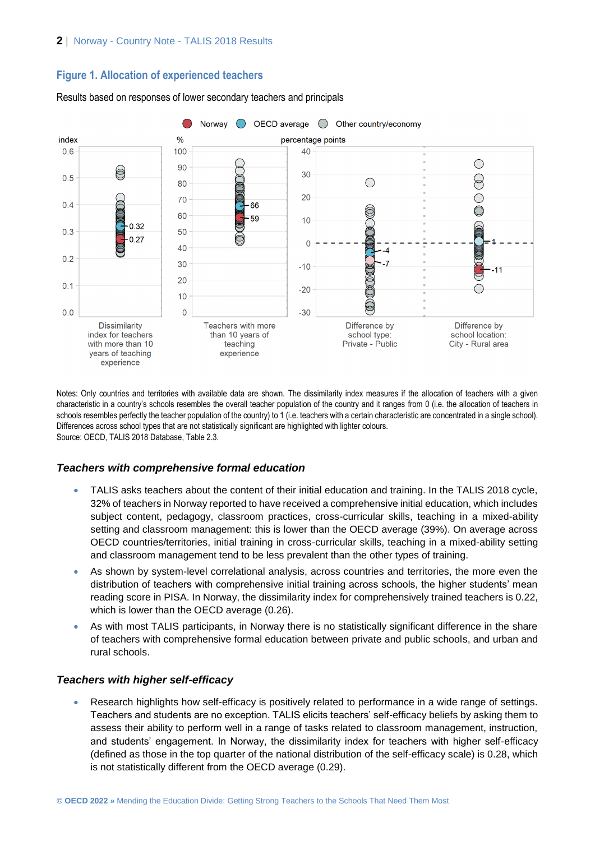### **Figure 1. Allocation of experienced teachers**



Results based on responses of lower secondary teachers and principals

Notes: Only countries and territories with available data are shown. The dissimilarity index measures if the allocation of teachers with a given characteristic in a country's schools resembles the overall teacher population of the country and it ranges from 0 (i.e. the allocation of teachers in schools resembles perfectly the teacher population of the country) to 1 (i.e. teachers with a certain characteristic are concentrated in a single school). Differences across school types that are not statistically significant are highlighted with lighter colours. Source: OECD, TALIS 2018 Database, Table 2.3.

### *Teachers with comprehensive formal education*

- TALIS asks teachers about the content of their initial education and training. In the TALIS 2018 cycle, 32% of teachers in Norway reported to have received a comprehensive initial education, which includes subject content, pedagogy, classroom practices, cross-curricular skills, teaching in a mixed-ability setting and classroom management: this is lower than the OECD average (39%). On average across OECD countries/territories, initial training in cross-curricular skills, teaching in a mixed-ability setting and classroom management tend to be less prevalent than the other types of training.
- As shown by system-level correlational analysis, across countries and territories, the more even the distribution of teachers with comprehensive initial training across schools, the higher students' mean reading score in PISA. In Norway, the dissimilarity index for comprehensively trained teachers is 0.22, which is lower than the OECD average (0.26).
- As with most TALIS participants, in Norway there is no statistically significant difference in the share of teachers with comprehensive formal education between private and public schools, and urban and rural schools.

#### *Teachers with higher self-efficacy*

 Research highlights how self-efficacy is positively related to performance in a wide range of settings. Teachers and students are no exception. TALIS elicits teachers' self-efficacy beliefs by asking them to assess their ability to perform well in a range of tasks related to classroom management, instruction, and students' engagement. In Norway, the dissimilarity index for teachers with higher self-efficacy (defined as those in the top quarter of the national distribution of the self-efficacy scale) is 0.28, which is not statistically different from the OECD average (0.29).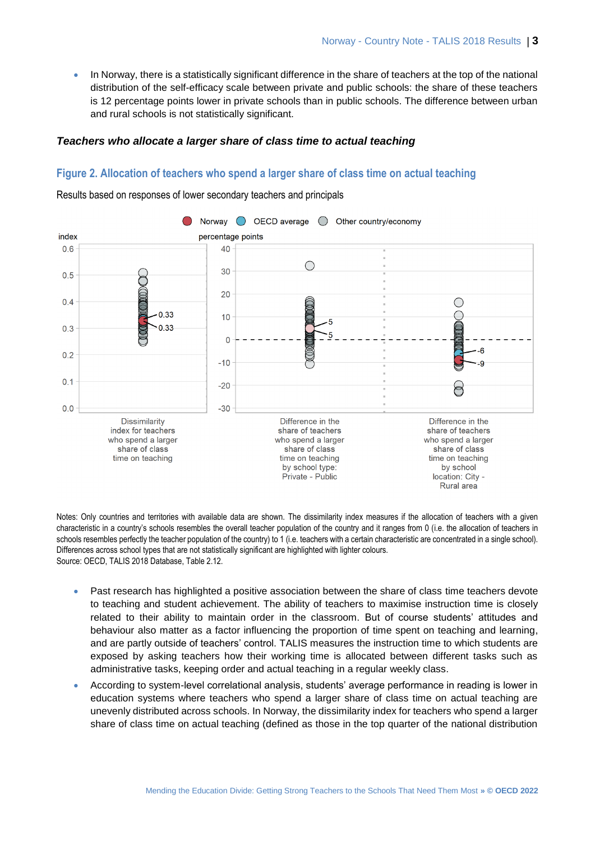In Norway, there is a statistically significant difference in the share of teachers at the top of the national distribution of the self-efficacy scale between private and public schools: the share of these teachers is 12 percentage points lower in private schools than in public schools. The difference between urban and rural schools is not statistically significant.

#### *Teachers who allocate a larger share of class time to actual teaching*

#### **Figure 2. Allocation of teachers who spend a larger share of class time on actual teaching**

Results based on responses of lower secondary teachers and principals



Notes: Only countries and territories with available data are shown. The dissimilarity index measures if the allocation of teachers with a given characteristic in a country's schools resembles the overall teacher population of the country and it ranges from 0 (i.e. the allocation of teachers in schools resembles perfectly the teacher population of the country) to 1 (i.e. teachers with a certain characteristic are concentrated in a single school). Differences across school types that are not statistically significant are highlighted with lighter colours. Source: OECD, TALIS 2018 Database, Table 2.12.

- Past research has highlighted a positive association between the share of class time teachers devote to teaching and student achievement. The ability of teachers to maximise instruction time is closely related to their ability to maintain order in the classroom. But of course students' attitudes and behaviour also matter as a factor influencing the proportion of time spent on teaching and learning, and are partly outside of teachers' control. TALIS measures the instruction time to which students are exposed by asking teachers how their working time is allocated between different tasks such as administrative tasks, keeping order and actual teaching in a regular weekly class.
- According to system-level correlational analysis, students' average performance in reading is lower in education systems where teachers who spend a larger share of class time on actual teaching are unevenly distributed across schools. In Norway, the dissimilarity index for teachers who spend a larger share of class time on actual teaching (defined as those in the top quarter of the national distribution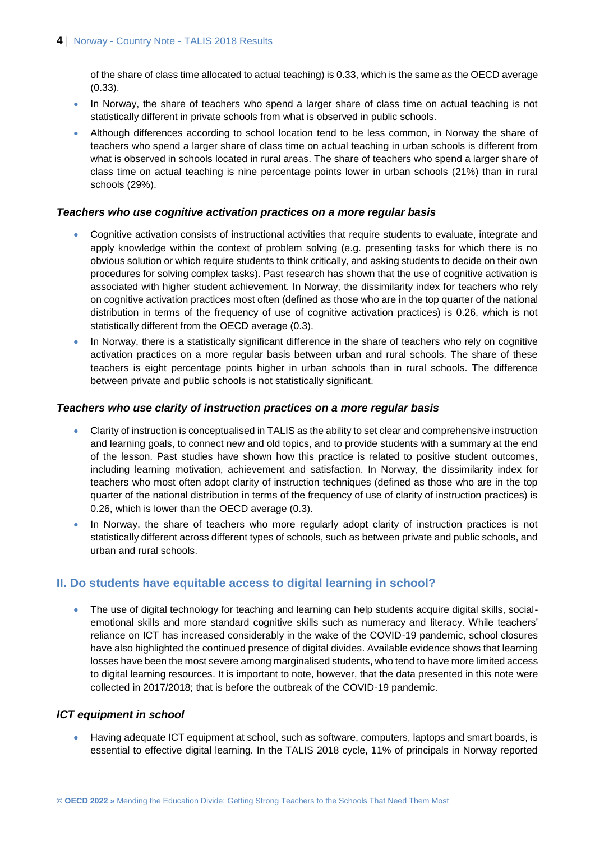of the share of class time allocated to actual teaching) is 0.33, which is the same as the OECD average (0.33).

- In Norway, the share of teachers who spend a larger share of class time on actual teaching is not statistically different in private schools from what is observed in public schools.
- Although differences according to school location tend to be less common, in Norway the share of teachers who spend a larger share of class time on actual teaching in urban schools is different from what is observed in schools located in rural areas. The share of teachers who spend a larger share of class time on actual teaching is nine percentage points lower in urban schools (21%) than in rural schools (29%).

#### *Teachers who use cognitive activation practices on a more regular basis*

- Cognitive activation consists of instructional activities that require students to evaluate, integrate and apply knowledge within the context of problem solving (e.g. presenting tasks for which there is no obvious solution or which require students to think critically, and asking students to decide on their own procedures for solving complex tasks). Past research has shown that the use of cognitive activation is associated with higher student achievement. In Norway, the dissimilarity index for teachers who rely on cognitive activation practices most often (defined as those who are in the top quarter of the national distribution in terms of the frequency of use of cognitive activation practices) is 0.26, which is not statistically different from the OECD average (0.3).
- In Norway, there is a statistically significant difference in the share of teachers who rely on cognitive activation practices on a more regular basis between urban and rural schools. The share of these teachers is eight percentage points higher in urban schools than in rural schools. The difference between private and public schools is not statistically significant.

#### *Teachers who use clarity of instruction practices on a more regular basis*

- Clarity of instruction is conceptualised in TALIS as the ability to set clear and comprehensive instruction and learning goals, to connect new and old topics, and to provide students with a summary at the end of the lesson. Past studies have shown how this practice is related to positive student outcomes, including learning motivation, achievement and satisfaction. In Norway, the dissimilarity index for teachers who most often adopt clarity of instruction techniques (defined as those who are in the top quarter of the national distribution in terms of the frequency of use of clarity of instruction practices) is 0.26, which is lower than the OECD average (0.3).
- In Norway, the share of teachers who more regularly adopt clarity of instruction practices is not statistically different across different types of schools, such as between private and public schools, and urban and rural schools.

## **II. Do students have equitable access to digital learning in school?**

• The use of digital technology for teaching and learning can help students acquire digital skills, socialemotional skills and more standard cognitive skills such as numeracy and literacy. While teachers' reliance on ICT has increased considerably in the wake of the COVID-19 pandemic, school closures have also highlighted the continued presence of digital divides. Available evidence shows that learning losses have been the most severe among marginalised students, who tend to have more limited access to digital learning resources. It is important to note, however, that the data presented in this note were collected in 2017/2018; that is before the outbreak of the COVID-19 pandemic.

### *ICT equipment in school*

 Having adequate ICT equipment at school, such as software, computers, laptops and smart boards, is essential to effective digital learning. In the TALIS 2018 cycle, 11% of principals in Norway reported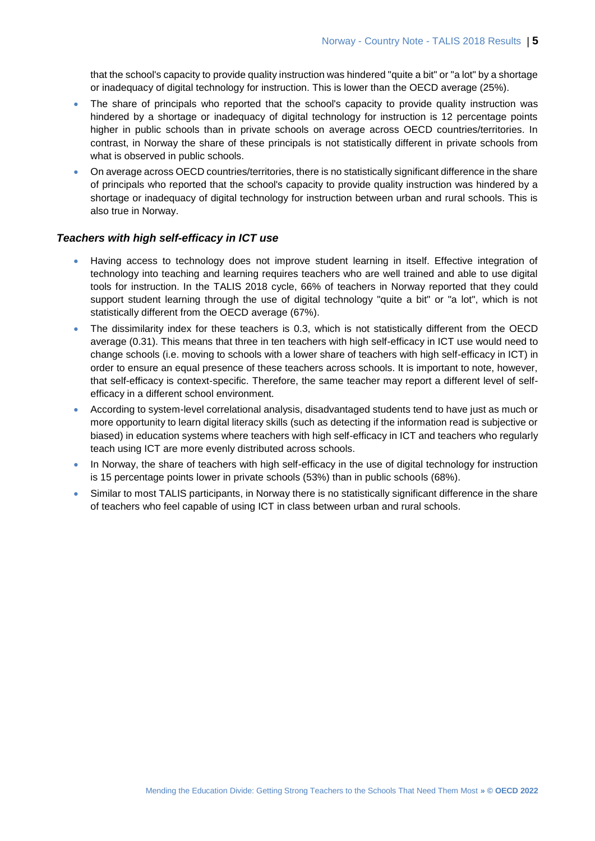that the school's capacity to provide quality instruction was hindered "quite a bit" or "a lot" by a shortage or inadequacy of digital technology for instruction. This is lower than the OECD average (25%).

- The share of principals who reported that the school's capacity to provide quality instruction was hindered by a shortage or inadequacy of digital technology for instruction is 12 percentage points higher in public schools than in private schools on average across OECD countries/territories. In contrast, in Norway the share of these principals is not statistically different in private schools from what is observed in public schools.
- On average across OECD countries/territories, there is no statistically significant difference in the share of principals who reported that the school's capacity to provide quality instruction was hindered by a shortage or inadequacy of digital technology for instruction between urban and rural schools. This is also true in Norway.

#### *Teachers with high self-efficacy in ICT use*

- Having access to technology does not improve student learning in itself. Effective integration of technology into teaching and learning requires teachers who are well trained and able to use digital tools for instruction. In the TALIS 2018 cycle, 66% of teachers in Norway reported that they could support student learning through the use of digital technology "quite a bit" or "a lot", which is not statistically different from the OECD average (67%).
- The dissimilarity index for these teachers is 0.3, which is not statistically different from the OECD average (0.31). This means that three in ten teachers with high self-efficacy in ICT use would need to change schools (i.e. moving to schools with a lower share of teachers with high self-efficacy in ICT) in order to ensure an equal presence of these teachers across schools. It is important to note, however, that self-efficacy is context-specific. Therefore, the same teacher may report a different level of selfefficacy in a different school environment.
- According to system-level correlational analysis, disadvantaged students tend to have just as much or more opportunity to learn digital literacy skills (such as detecting if the information read is subjective or biased) in education systems where teachers with high self-efficacy in ICT and teachers who regularly teach using ICT are more evenly distributed across schools.
- In Norway, the share of teachers with high self-efficacy in the use of digital technology for instruction is 15 percentage points lower in private schools (53%) than in public schools (68%).
- Similar to most TALIS participants, in Norway there is no statistically significant difference in the share of teachers who feel capable of using ICT in class between urban and rural schools.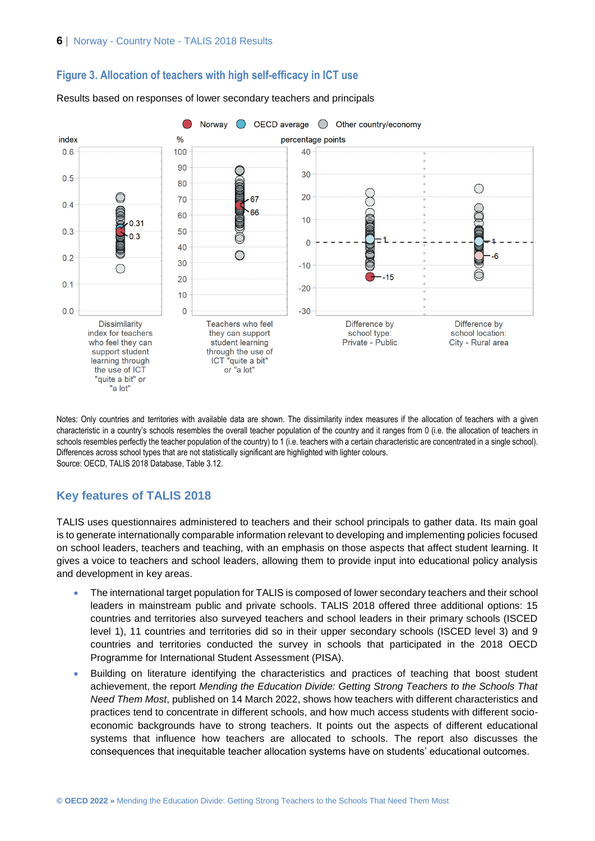

#### **Figure 3. Allocation of teachers with high self-efficacy in ICT use**



Notes: Only countries and territories with available data are shown. The dissimilarity index measures if the allocation of teachers with a given characteristic in a country's schools resembles the overall teacher population of the country and it ranges from 0 (i.e. the allocation of teachers in schools resembles perfectly the teacher population of the country) to 1 (i.e. teachers with a certain characteristic are concentrated in a single school). Differences across school types that are not statistically significant are highlighted with lighter colours. Source: OECD, TALIS 2018 Database, Table 3.12.

#### **Key features of TALIS 2018**

"a lot"

TALIS uses questionnaires administered to teachers and their school principals to gather data. Its main goal is to generate internationally comparable information relevant to developing and implementing policies focused on school leaders, teachers and teaching, with an emphasis on those aspects that affect student learning. It gives a voice to teachers and school leaders, allowing them to provide input into educational policy analysis and development in key areas.

- The international target population for TALIS is composed of lower secondary teachers and their school leaders in mainstream public and private schools. TALIS 2018 offered three additional options: 15 countries and territories also surveyed teachers and school leaders in their primary schools (ISCED level 1), 11 countries and territories did so in their upper secondary schools (ISCED level 3) and 9 countries and territories conducted the survey in schools that participated in the 2018 OECD Programme for International Student Assessment (PISA).
- Building on literature identifying the characteristics and practices of teaching that boost student achievement, the report *Mending the Education Divide: Getting Strong Teachers to the Schools That Need Them Most*, published on 14 March 2022, shows how teachers with different characteristics and practices tend to concentrate in different schools, and how much access students with different socioeconomic backgrounds have to strong teachers. It points out the aspects of different educational systems that influence how teachers are allocated to schools. The report also discusses the consequences that inequitable teacher allocation systems have on students' educational outcomes.